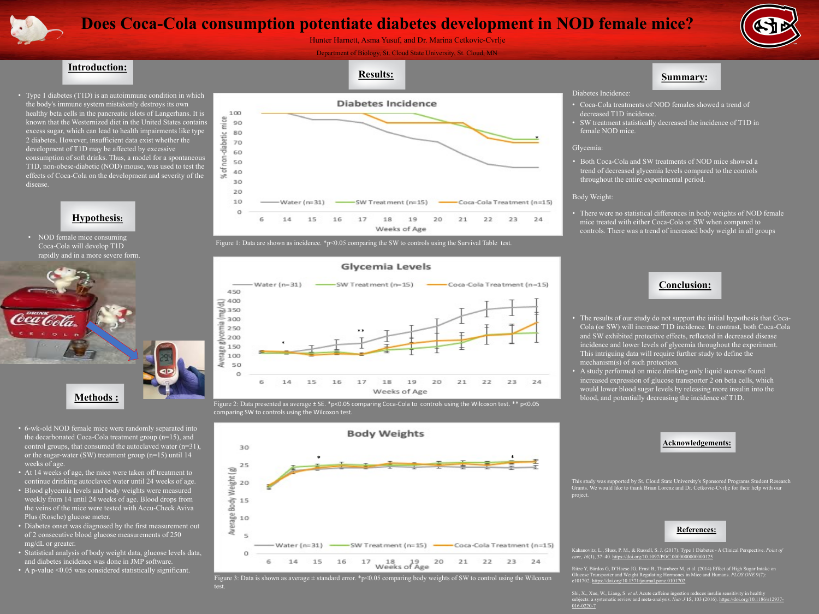# **Does Coca-Cola consumption potentiate diabetes development in NOD female mice?**

Hunter Harnett, Asma Yusuf, and Dr. Marina Cetkovic-Cvrlje

• Type 1 diabetes (T1D) is an autoimmune condition in which the body's immune system mistakenly destroys its own healthy beta cells in the pancreatic islets of Langerhans. It is known that the Westernized diet in the United States contains excess sugar, which can lead to health impairments like type 2 diabetes. However, insufficient data exist whether the development of T1D may be affected by excessive consumption of soft drinks. Thus, a model for a spontaneous T1D, non-obese-diabetic (NOD) mouse, was used to test the effects of Coca-Cola on the development and severity of the disease.

- 6-wk-old NOD female mice were randomly separated into the decarbonated Coca-Cola treatment group (n=15), and control groups, that consumed the autoclaved water (n=31), or the sugar-water (SW) treatment group (n=15) until 14 weeks of age.
- At 14 weeks of age, the mice were taken off treatment to continue drinking autoclaved water until 24 weeks of age.
- Blood glycemia levels and body weights were measured weekly from 14 until 24 weeks of age. Blood drops from the veins of the mice were tested with Accu-Check Aviva Plus (Rosche) glucose meter.
- Diabetes onset was diagnosed by the first measurement out of 2 consecutive blood glucose measurements of 250 mg/dL or greater.
- Statistical analysis of body weight data, glucose levels data, and diabetes incidence was done in JMP software.
- A p-value < 0.05 was considered statistically significant.

Department of Biology, St. Cloud State University, St. Cloud, MN



**Methods :**

• There were no statistical differences in body weights of NOD female mice treated with either Coca-Cola or SW when compared to controls. There was a trend of increased body weight in all groups

- The results of our study do not support the initial hypothesis that Coca-Cola (or SW) will increase T1D incidence. In contrast, both Coca-Cola and SW exhibited protective effects, reflected in decreased disease incidence and lower levels of glycemia throughout the experiment. This intriguing data will require further study to define the mechanism(s) of such protection.
- A study performed on mice drinking only liquid sucrose found increased expression of glucose transporter 2 on beta cells, which would lower blood sugar levels by releasing more insulin into the blood, and potentially decreasing the incidence of T1D.



| 450               |  |
|-------------------|--|
| 400               |  |
| 350               |  |
| 300               |  |
| 250               |  |
| 200               |  |
| 150               |  |
| $\frac{2}{5}$ 100 |  |
| 50                |  |
| o                 |  |



test.



| <b>Acknowledgements:</b> |  |
|--------------------------|--|
|                          |  |

| <b>References:</b> |
|--------------------|
|                    |



## **Introduction:**

### **Summary:**

This study was supported by St. Cloud State University's Sponsored Programs Student Research Grants. We would like to thank Brian Lorenz and Dr. Cetkovic-Cvrlje for their help with our project.

# **Hypothesis:**

• NOD female mice consuming Coca-Cola will develop T1D rapidly and in a more severe form.





- Coca-Cola treatments of NOD females showed a trend of decreased T1D incidence.
- SW treatment statistically decreased the incidence of T1D in female NOD mice.

#### Glycemia:

• Both Coca-Cola and SW treatments of NOD mice showed a trend of decreased glycemia levels compared to the controls throughout the entire experimental period.

#### Body Weight:

Kahanovitz, L., Sluss, P. M., & Russell, S. J. (2017). Type 1 Diabetes - A Clinical Perspective. *Point of care*, *16*(1), 37–40.<https://doi.org/10.1097/POC.0000000000000125>

Ritze Y, Bárdos G, D'Haese JG, Ernst B, Thurnheer M, et al. (2014) Effect of High Sugar Intake on Glucose Transporter and Weight Regulating Hormones in Mice and Humans. *PLOS ONE* 9(7): e101702. <https://doi.org/10.1371/journal.pone.0101702>

Shi, X., Xue, W., Liang, S. *et al.* Acute caffeine ingestion reduces insulin sensitivity in healthy [subjects: a systematic review and meta-analysis.](https://doi.org/10.1186/s12937-016-0220-7) *Nutr J* **15,** 103 (2016). https://doi.org/10.1186/s12937- 016-0220-7

| <b>PERMIT RATION</b> | e |
|----------------------|---|
|                      |   |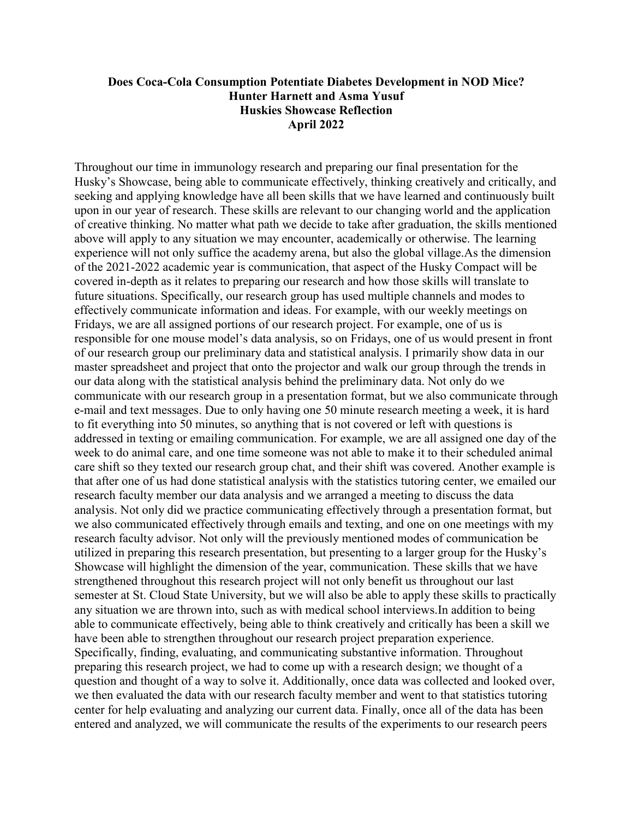#### **Does Coca-Cola Consumption Potentiate Diabetes Development in NOD Mice? Hunter Harnett and Asma Yusuf Huskies Showcase Reflection April 2022**

Throughout our time in immunology research and preparing our final presentation for the Husky's Showcase, being able to communicate effectively, thinking creatively and critically, and seeking and applying knowledge have all been skills that we have learned and continuously built upon in our year of research. These skills are relevant to our changing world and the application of creative thinking. No matter what path we decide to take after graduation, the skills mentioned above will apply to any situation we may encounter, academically or otherwise. The learning experience will not only suffice the academy arena, but also the global village.As the dimension of the 2021-2022 academic year is communication, that aspect of the Husky Compact will be covered in-depth as it relates to preparing our research and how those skills will translate to future situations. Specifically, our research group has used multiple channels and modes to effectively communicate information and ideas. For example, with our weekly meetings on Fridays, we are all assigned portions of our research project. For example, one of us is responsible for one mouse model's data analysis, so on Fridays, one of us would present in front of our research group our preliminary data and statistical analysis. I primarily show data in our master spreadsheet and project that onto the projector and walk our group through the trends in our data along with the statistical analysis behind the preliminary data. Not only do we communicate with our research group in a presentation format, but we also communicate through e-mail and text messages. Due to only having one 50 minute research meeting a week, it is hard to fit everything into 50 minutes, so anything that is not covered or left with questions is addressed in texting or emailing communication. For example, we are all assigned one day of the week to do animal care, and one time someone was not able to make it to their scheduled animal care shift so they texted our research group chat, and their shift was covered. Another example is that after one of us had done statistical analysis with the statistics tutoring center, we emailed our research faculty member our data analysis and we arranged a meeting to discuss the data analysis. Not only did we practice communicating effectively through a presentation format, but we also communicated effectively through emails and texting, and one on one meetings with my research faculty advisor. Not only will the previously mentioned modes of communication be utilized in preparing this research presentation, but presenting to a larger group for the Husky's Showcase will highlight the dimension of the year, communication. These skills that we have strengthened throughout this research project will not only benefit us throughout our last semester at St. Cloud State University, but we will also be able to apply these skills to practically any situation we are thrown into, such as with medical school interviews.In addition to being able to communicate effectively, being able to think creatively and critically has been a skill we have been able to strengthen throughout our research project preparation experience. Specifically, finding, evaluating, and communicating substantive information. Throughout preparing this research project, we had to come up with a research design; we thought of a question and thought of a way to solve it. Additionally, once data was collected and looked over, we then evaluated the data with our research faculty member and went to that statistics tutoring center for help evaluating and analyzing our current data. Finally, once all of the data has been entered and analyzed, we will communicate the results of the experiments to our research peers